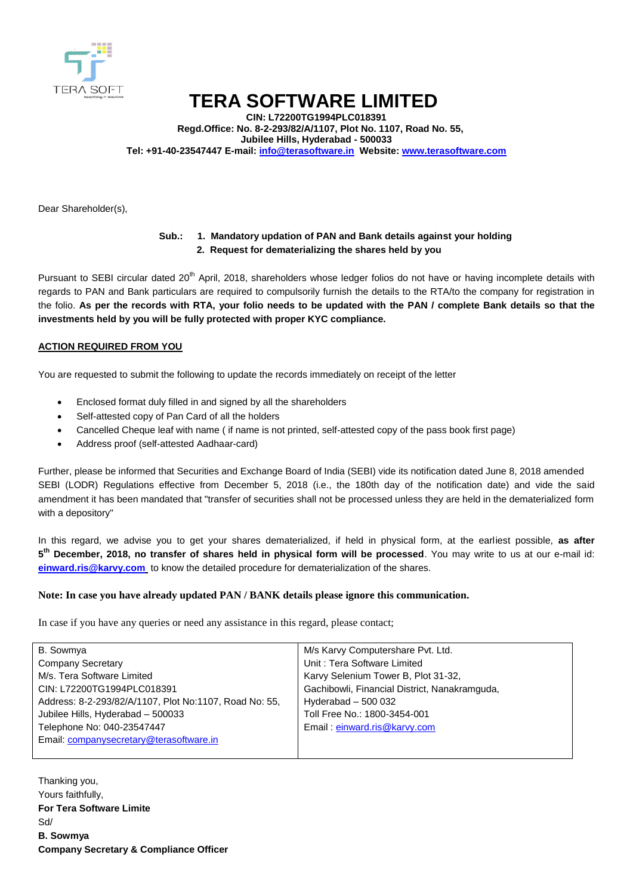

# **TERA SOFTWARE LIMITED**

**CIN: L72200TG1994PLC018391 Regd.Office: No. 8-2-293/82/A/1107, Plot No. 1107, Road No. 55, Jubilee Hills, Hyderabad - 500033 Tel: +91-40-23547447 E-mail: info@terasoftware.in Website: www.terasoftware.com**

Dear Shareholder(s),

## **Sub.: 1. Mandatory updation of PAN and Bank details against your holding 2. Request for dematerializing the shares held by you**

Pursuant to SEBI circular dated 20<sup>th</sup> April, 2018, shareholders whose ledger folios do not have or having incomplete details with regards to PAN and Bank particulars are required to compulsorily furnish the details to the RTA/to the company for registration in the folio. **As per the records with RTA, your folio needs to be updated with the PAN / complete Bank details so that the investments held by you will be fully protected with proper KYC compliance.** 

### **ACTION REQUIRED FROM YOU**

You are requested to submit the following to update the records immediately on receipt of the letter

- Enclosed format duly filled in and signed by all the shareholders
- Self-attested copy of Pan Card of all the holders
- Cancelled Cheque leaf with name ( if name is not printed, self-attested copy of the pass book first page)
- Address proof (self-attested Aadhaar-card)

Further, please be informed that Securities and Exchange Board of India (SEBI) vide its notification dated June 8, 2018 amended SEBI (LODR) Regulations effective from December 5, 2018 (i.e., the 180th day of the notification date) and vide the said amendment it has been mandated that "transfer of securities shall not be processed unless they are held in the dematerialized form with a depository"

In this regard, we advise you to get your shares dematerialized, if held in physical form, at the earliest possible, **as after 5 th December, 2018, no transfer of shares held in physical form will be processed**. You may write to us at our e-mail id: **[einward.ris@karvy.com](mailto:einward.ris@karvy.com)** to know the detailed procedure for dematerialization of the shares.

#### **Note: In case you have already updated PAN / BANK details please ignore this communication.**

In case if you have any queries or need any assistance in this regard, please contact;

| B. Sowmya                                              | M/s Karvy Computershare Pvt. Ltd.             |
|--------------------------------------------------------|-----------------------------------------------|
| <b>Company Secretary</b>                               | Unit: Tera Software Limited                   |
| M/s. Tera Software Limited                             | Karvy Selenium Tower B, Plot 31-32,           |
| CIN: L72200TG1994PLC018391                             | Gachibowli, Financial District, Nanakramguda, |
| Address: 8-2-293/82/A/1107, Plot No:1107, Road No: 55, | Hyderabad $-500032$                           |
| Jubilee Hills, Hyderabad - 500033                      | Toll Free No.: 1800-3454-001                  |
| Telephone No: 040-23547447                             | Email: einward.ris@karvy.com                  |
| Email: companysecretary@terasoftware.in                |                                               |
|                                                        |                                               |

Thanking you, Yours faithfully, **For Tera Software Limite** Sd/ **B. Sowmya Company Secretary & Compliance Officer**